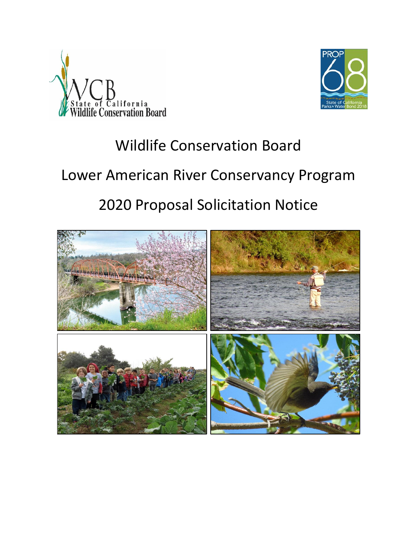



# Wildlife Conservation Board

# Lower American River Conservancy Program

# 2020 Proposal Solicitation Notice

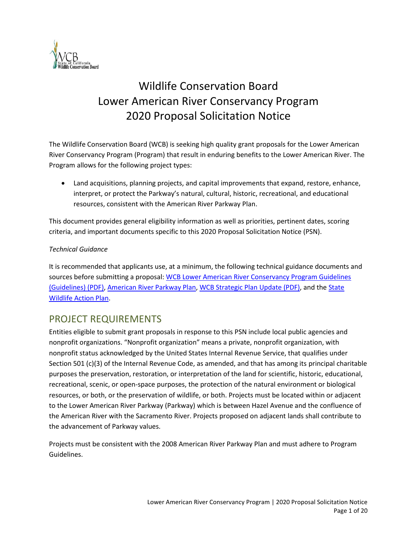

# Wildlife Conservation Board Lower American River Conservancy Program 2020 Proposal Solicitation Notice

The Wildlife Conservation Board (WCB) is seeking high quality grant proposals for the Lower American River Conservancy Program (Program) that result in enduring benefits to the Lower American River. The Program allows for the following project types:

• Land acquisitions, planning projects, and capital improvements that expand, restore, enhance, interpret, or protect the Parkway's natural, cultural, historic, recreational, and educational resources, consistent with the American River Parkway Plan.

This document provides general eligibility information as well as priorities, pertinent dates, scoring criteria, and important documents specific to this 2020 Proposal Solicitation Notice (PSN).

#### *Technical Guidance*

It is recommended that applicants use, at a minimum, the following technical guidance documents and sources before submitting a proposal[: WCB Lower American River Conservancy Program Guidelines](http://nrm.dfg.ca.gov/FileHandler.ashx?DocumentID=161052&inline)  [\(Guidelines\) \(PDF\),](http://nrm.dfg.ca.gov/FileHandler.ashx?DocumentID=161052&inline) [American River Parkway Plan,](https://regionalparks.saccounty.net/Parks/Pages/AmericanRiverParkway.aspx) [WCB Strategic Plan Update \(PDF\),](http://nrm.dfg.ca.gov/FileHandler.ashx?DocumentID=174180&inline) and th[e State](https://www.wildlife.ca.gov/SWAP)  [Wildlife Action Plan.](https://www.wildlife.ca.gov/SWAP)

# PROJECT REQUIREMENTS

Entities eligible to submit grant proposals in response to this PSN include local public agencies and nonprofit organizations. "Nonprofit organization" means a private, nonprofit organization, with nonprofit status acknowledged by the United States Internal Revenue Service, that qualifies under Section 501 (c)(3) of the Internal Revenue Code, as amended, and that has among its principal charitable purposes the preservation, restoration, or interpretation of the land for scientific, historic, educational, recreational, scenic, or open-space purposes, the protection of the natural environment or biological resources, or both, or the preservation of wildlife, or both. Projects must be located within or adjacent to the Lower American River Parkway (Parkway) which is between Hazel Avenue and the confluence of the American River with the Sacramento River. Projects proposed on adjacent lands shall contribute to the advancement of Parkway values.

Projects must be consistent with the 2008 American River Parkway Plan and must adhere to Program Guidelines[.](http://nrm.dfg.ca.gov/FileHandler.ashx?DocumentID=161052&inline)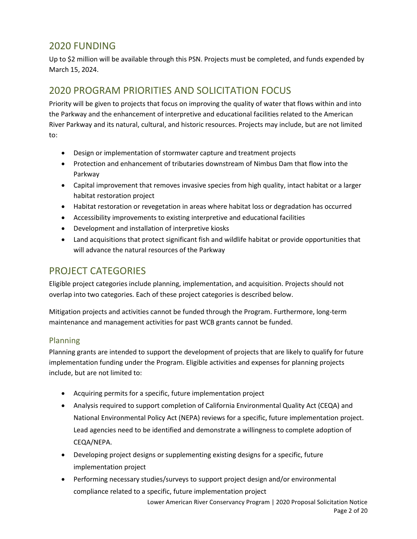# 2020 FUNDING

Up to \$2 million will be available through this PSN. Projects must be completed, and funds expended by March 15, 2024.

# 2020 PROGRAM PRIORITIES AND SOLICITATION FOCUS

Priority will be given to projects that focus on improving the quality of water that flows within and into the Parkway and the enhancement of interpretive and educational facilities related to the American River Parkway and its natural, cultural, and historic resources. Projects may include, but are not limited to:

- Design or implementation of stormwater capture and treatment projects
- Protection and enhancement of tributaries downstream of Nimbus Dam that flow into the Parkway
- Capital improvement that removes invasive species from high quality, intact habitat or a larger habitat restoration project
- Habitat restoration or revegetation in areas where habitat loss or degradation has occurred
- Accessibility improvements to existing interpretive and educational facilities
- Development and installation of interpretive kiosks
- Land acquisitions that protect significant fish and wildlife habitat or provide opportunities that will advance the natural resources of the Parkway

# PROJECT CATEGORIES

Eligible project categories include planning, implementation, and acquisition. Projects should not overlap into two categories. Each of these project categories is described below.

Mitigation projects and activities cannot be funded through the Program. Furthermore, long-term maintenance and management activities for past WCB grants cannot be funded.

## Planning

Planning grants are intended to support the development of projects that are likely to qualify for future implementation funding under the Program. Eligible activities and expenses for planning projects include, but are not limited to:

- Acquiring permits for a specific, future implementation project
- Analysis required to support completion of California Environmental Quality Act (CEQA) and National Environmental Policy Act (NEPA) reviews for a specific, future implementation project. Lead agencies need to be identified and demonstrate a willingness to complete adoption of CEQA/NEPA.
- Developing project designs or supplementing existing designs for a specific, future implementation project
- Performing necessary studies/surveys to support project design and/or environmental compliance related to a specific, future implementation project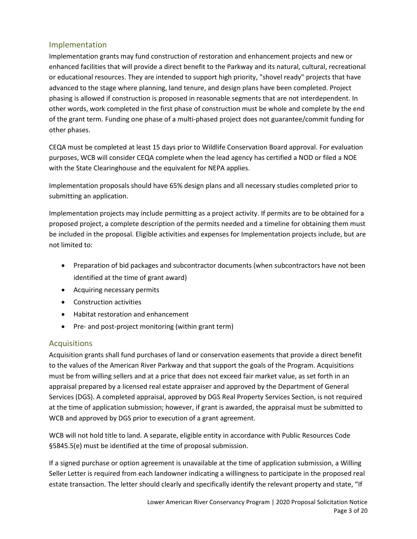### Implementation

Implementation grants may fund construction of restoration and enhancement projects and new or enhanced facilities that will provide a direct benefit to the Parkway and its natural, cultural, recreational or educational resources. They are intended to support high priority, "shovel ready" projects that have advanced to the stage where planning, land tenure, and design plans have been completed. Project phasing is allowed if construction is proposed in reasonable segments that are not interdependent. In other words, work completed in the first phase of construction must be whole and complete by the end of the grant term. Funding one phase of a multi-phased project does not guarantee/commit funding for other phases.

CEQA must be completed at least 15 days prior to Wildlife Conservation Board approval. For evaluation purposes, WCB will consider CEQA complete when the lead agency has certified a NOD or filed a NOE with the State Clearinghouse and the equivalent for NEPA applies.

Implementation proposals should have 65% design plans and all necessary studies completed prior to submitting an application.

Implementation projects may include permitting as a project activity. If permits are to be obtained for a proposed project, a complete description of the permits needed and a timeline for obtaining them must be included in the proposal. Eligible activities and expenses for Implementation projects include, but are not limited to:

- Preparation of bid packages and subcontractor documents (when subcontractors have not been identified at the time of grant award)
- Acquiring necessary permits
- Construction activities
- Habitat restoration and enhancement
- Pre- and post-project monitoring (within grant term)

## Acquisitions

Acquisition grants shall fund purchases of land or conservation easements that provide a direct benefit to the values of the American River Parkway and that support the goals of the Program. Acquisitions must be from willing sellers and at a price that does not exceed fair market value, as set forth in an appraisal prepared by a licensed real estate appraiser and approved by the Department of General Services (DGS). A completed appraisal, approved by DGS Real Property Services Section, is not required at the time of application submission; however, if grant is awarded, the appraisal must be submitted to WCB and approved by DGS prior to execution of a grant agreement.

WCB will not hold title to land. A separate, eligible entity in accordance with Public Resources Code §5845.5(e) must be identified at the time of proposal submission.

If a signed purchase or option agreement is unavailable at the time of application submission, a Willing Seller Letter is required from each landowner indicating a willingness to participate in the proposed real estate transaction. The letter should clearly and specifically identify the relevant property and state, "If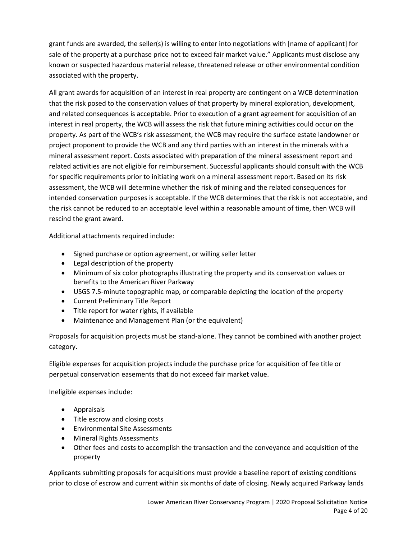grant funds are awarded, the seller(s) is willing to enter into negotiations with [name of applicant] for sale of the property at a purchase price not to exceed fair market value." Applicants must disclose any known or suspected hazardous material release, threatened release or other environmental condition associated with the property.

All grant awards for acquisition of an interest in real property are contingent on a WCB determination that the risk posed to the conservation values of that property by mineral exploration, development, and related consequences is acceptable. Prior to execution of a grant agreement for acquisition of an interest in real property, the WCB will assess the risk that future mining activities could occur on the property. As part of the WCB's risk assessment, the WCB may require the surface estate landowner or project proponent to provide the WCB and any third parties with an interest in the minerals with a mineral assessment report. Costs associated with preparation of the mineral assessment report and related activities are not eligible for reimbursement. Successful applicants should consult with the WCB for specific requirements prior to initiating work on a mineral assessment report. Based on its risk assessment, the WCB will determine whether the risk of mining and the related consequences for intended conservation purposes is acceptable. If the WCB determines that the risk is not acceptable, and the risk cannot be reduced to an acceptable level within a reasonable amount of time, then WCB will rescind the grant award.

Additional attachments required include:

- Signed purchase or option agreement, or willing seller letter
- Legal description of the property
- Minimum of six color photographs illustrating the property and its conservation values or benefits to the American River Parkway
- USGS 7.5-minute topographic map, or comparable depicting the location of the property
- Current Preliminary Title Report
- Title report for water rights, if available
- Maintenance and Management Plan (or the equivalent)

Proposals for acquisition projects must be stand-alone. They cannot be combined with another project category.

Eligible expenses for acquisition projects include the purchase price for acquisition of fee title or perpetual conservation easements that do not exceed fair market value.

Ineligible expenses include:

- Appraisals
- Title escrow and closing costs
- Environmental Site Assessments
- Mineral Rights Assessments
- Other fees and costs to accomplish the transaction and the conveyance and acquisition of the property

Applicants submitting proposals for acquisitions must provide a baseline report of existing conditions prior to close of escrow and current within six months of date of closing. Newly acquired Parkway lands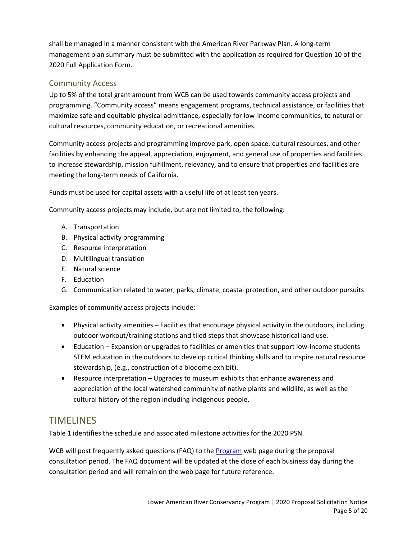shall be managed in a manner consistent with the American River Parkway Plan. A long-term management plan summary must be submitted with the application as required for Question 10 of the 2020 Full Application Form.

# Community Access

Up to 5% of the total grant amount from WCB can be used towards community access projects and programming. "Community access" means engagement programs, technical assistance, or facilities that maximize safe and equitable physical admittance, especially for low-income communities, to natural or cultural resources, community education, or recreational amenities.

Community access projects and programming improve park, open space, cultural resources, and other facilities by enhancing the appeal, appreciation, enjoyment, and general use of properties and facilities to increase stewardship, mission fulfillment, relevancy, and to ensure that properties and facilities are meeting the long-term needs of California.

Funds must be used for capital assets with a useful life of at least ten years.

Community access projects may include, but are not limited to, the following:

- A. Transportation
- B. Physical activity programming
- C. Resource interpretation
- D. Multilingual translation
- E. Natural science
- F. Education
- G. Communication related to water, parks, climate, coastal protection, and other outdoor pursuits

Examples of community access projects include:

- Physical activity amenities Facilities that encourage physical activity in the outdoors, including outdoor workout/training stations and tiled steps that showcase historical land use.
- Education Expansion or upgrades to facilities or amenities that support low-income students STEM education in the outdoors to develop critical thinking skills and to inspire natural resource stewardship, (e.g., construction of a biodome exhibit).
- Resource interpretation Upgrades to museum exhibits that enhance awareness and appreciation of the local watershed community of native plants and wildlife, as well as the cultural history of the region including indigenous people.

# TIMELINES

Table 1 identifies the schedule and associated milestone activities for the 2020 PSN.

WCB will post frequently asked questions (FAQ) to the [Program](https://wcb.ca.gov/Programs/Lower-American-River) web page during the proposal consultation period. The FAQ document will be updated at the close of each business day during the consultation period and will remain on the web page for future reference.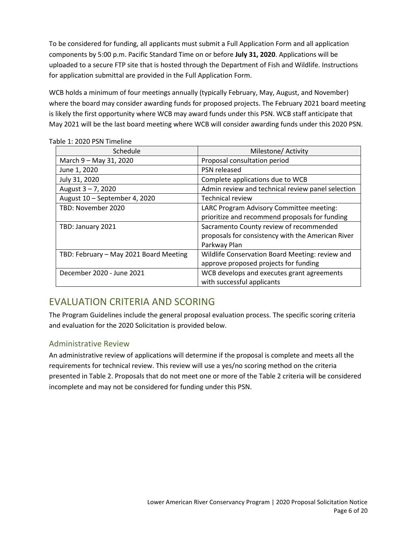To be considered for funding, all applicants must submit a Full Application Form and all application components by 5:00 p.m. Pacific Standard Time on or before **July 31, 2020**. Applications will be uploaded to a secure FTP site that is hosted through the Department of Fish and Wildlife. Instructions for application submittal are provided in the Full Application Form.

WCB holds a minimum of four meetings annually (typically February, May, August, and November) where the board may consider awarding funds for proposed projects. The February 2021 board meeting is likely the first opportunity where WCB may award funds under this PSN. WCB staff anticipate that May 2021 will be the last board meeting where WCB will consider awarding funds under this 2020 PSN.

| Schedule                               | Milestone/ Activity                               |
|----------------------------------------|---------------------------------------------------|
| March 9 - May 31, 2020                 | Proposal consultation period                      |
| June 1, 2020                           | PSN released                                      |
| July 31, 2020                          | Complete applications due to WCB                  |
| August $3 - 7$ , 2020                  | Admin review and technical review panel selection |
| August 10 - September 4, 2020          | <b>Technical review</b>                           |
| TBD: November 2020                     | LARC Program Advisory Committee meeting:          |
|                                        | prioritize and recommend proposals for funding    |
| TBD: January 2021                      | Sacramento County review of recommended           |
|                                        | proposals for consistency with the American River |
|                                        | Parkway Plan                                      |
| TBD: February - May 2021 Board Meeting | Wildlife Conservation Board Meeting: review and   |
|                                        | approve proposed projects for funding             |
| December 2020 - June 2021              | WCB develops and executes grant agreements        |
|                                        | with successful applicants                        |

Table 1: 2020 PSN Timeline

# EVALUATION CRITERIA AND SCORING

The Program Guidelines include the general proposal evaluation process. The specific scoring criteria and evaluation for the 2020 Solicitation is provided below.

## Administrative Review

An administrative review of applications will determine if the proposal is complete and meets all the requirements for technical review. This review will use a yes/no scoring method on the criteria presented in Table 2. Proposals that do not meet one or more of the Table 2 criteria will be considered incomplete and may not be considered for funding under this PSN.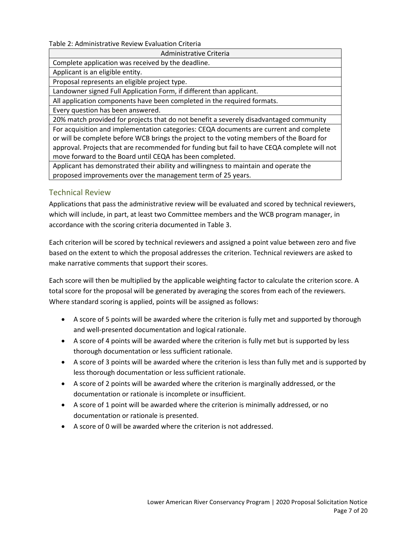#### Table 2: Administrative Review Evaluation Criteria

| Administrative Criteria                                                                     |
|---------------------------------------------------------------------------------------------|
| Complete application was received by the deadline.                                          |
| Applicant is an eligible entity.                                                            |
| Proposal represents an eligible project type.                                               |
| Landowner signed Full Application Form, if different than applicant.                        |
| All application components have been completed in the required formats.                     |
| Every question has been answered.                                                           |
| 20% match provided for projects that do not benefit a severely disadvantaged community      |
| For acquisition and implementation categories: CEQA documents are current and complete      |
| or will be complete before WCB brings the project to the voting members of the Board for    |
| approval. Projects that are recommended for funding but fail to have CEQA complete will not |
| move forward to the Board until CEQA has been completed.                                    |
| Applicant has demonstrated their ability and willingness to maintain and operate the        |
| proposed improvements over the management term of 25 years.                                 |

#### Technical Review

Applications that pass the administrative review will be evaluated and scored by technical reviewers, which will include, in part, at least two Committee members and the WCB program manager, in accordance with the scoring criteria documented in Table 3.

Each criterion will be scored by technical reviewers and assigned a point value between zero and five based on the extent to which the proposal addresses the criterion. Technical reviewers are asked to make narrative comments that support their scores.

Each score will then be multiplied by the applicable weighting factor to calculate the criterion score. A total score for the proposal will be generated by averaging the scores from each of the reviewers. Where standard scoring is applied, points will be assigned as follows:

- A score of 5 points will be awarded where the criterion is fully met and supported by thorough and well-presented documentation and logical rationale.
- A score of 4 points will be awarded where the criterion is fully met but is supported by less thorough documentation or less sufficient rationale.
- A score of 3 points will be awarded where the criterion is less than fully met and is supported by less thorough documentation or less sufficient rationale.
- A score of 2 points will be awarded where the criterion is marginally addressed, or the documentation or rationale is incomplete or insufficient.
- A score of 1 point will be awarded where the criterion is minimally addressed, or no documentation or rationale is presented.
- A score of 0 will be awarded where the criterion is not addressed.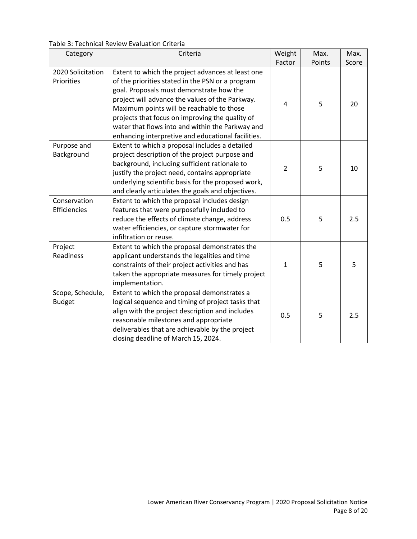Table 3: Technical Review Evaluation Criteria

| Category                        | Criteria                                                                                              | Weight         | Max.   | Max.  |
|---------------------------------|-------------------------------------------------------------------------------------------------------|----------------|--------|-------|
|                                 |                                                                                                       | Factor         | Points | Score |
| 2020 Solicitation<br>Priorities | Extent to which the project advances at least one<br>of the priorities stated in the PSN or a program |                |        |       |
|                                 | goal. Proposals must demonstrate how the                                                              |                |        |       |
|                                 | project will advance the values of the Parkway.                                                       | $\overline{4}$ | 5      | 20    |
|                                 | Maximum points will be reachable to those                                                             |                |        |       |
|                                 | projects that focus on improving the quality of                                                       |                |        |       |
|                                 | water that flows into and within the Parkway and                                                      |                |        |       |
|                                 | enhancing interpretive and educational facilities.                                                    |                |        |       |
| Purpose and                     | Extent to which a proposal includes a detailed                                                        |                |        |       |
| Background                      | project description of the project purpose and                                                        |                |        |       |
|                                 | background, including sufficient rationale to                                                         | $\overline{2}$ | 5      | 10    |
|                                 | justify the project need, contains appropriate                                                        |                |        |       |
|                                 | underlying scientific basis for the proposed work,                                                    |                |        |       |
| Conservation                    | and clearly articulates the goals and objectives.<br>Extent to which the proposal includes design     |                |        |       |
| Efficiencies                    |                                                                                                       |                |        |       |
|                                 | features that were purposefully included to<br>reduce the effects of climate change, address          | 0.5            | 5      | 2.5   |
|                                 | water efficiencies, or capture stormwater for                                                         |                |        |       |
|                                 | infiltration or reuse.                                                                                |                |        |       |
| Project                         | Extent to which the proposal demonstrates the                                                         |                |        |       |
| Readiness                       | applicant understands the legalities and time                                                         |                |        |       |
|                                 | constraints of their project activities and has                                                       | $\mathbf{1}$   | 5      | 5     |
|                                 | taken the appropriate measures for timely project                                                     |                |        |       |
|                                 | implementation.                                                                                       |                |        |       |
| Scope, Schedule,                | Extent to which the proposal demonstrates a                                                           |                |        |       |
| <b>Budget</b>                   | logical sequence and timing of project tasks that                                                     |                |        |       |
|                                 | align with the project description and includes                                                       |                |        |       |
|                                 | reasonable milestones and appropriate                                                                 | 0.5            | 5      | 2.5   |
|                                 | deliverables that are achievable by the project                                                       |                |        |       |
|                                 | closing deadline of March 15, 2024.                                                                   |                |        |       |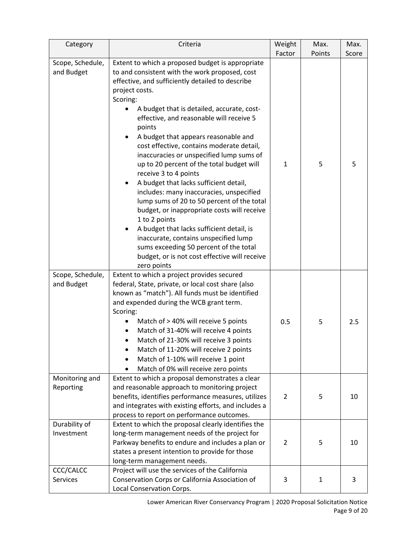| Category                                           | Criteria                                                                                                                                                                                                                                                                                                                                                                                                                                                                                                                                                                                                                                                                                                                                                                                                                                                                                                                                          | Weight         | Max.         | Max.  |
|----------------------------------------------------|---------------------------------------------------------------------------------------------------------------------------------------------------------------------------------------------------------------------------------------------------------------------------------------------------------------------------------------------------------------------------------------------------------------------------------------------------------------------------------------------------------------------------------------------------------------------------------------------------------------------------------------------------------------------------------------------------------------------------------------------------------------------------------------------------------------------------------------------------------------------------------------------------------------------------------------------------|----------------|--------------|-------|
|                                                    |                                                                                                                                                                                                                                                                                                                                                                                                                                                                                                                                                                                                                                                                                                                                                                                                                                                                                                                                                   | Factor         | Points       | Score |
| Scope, Schedule,<br>and Budget<br>Scope, Schedule, | Extent to which a proposed budget is appropriate<br>to and consistent with the work proposed, cost<br>effective, and sufficiently detailed to describe<br>project costs.<br>Scoring:<br>A budget that is detailed, accurate, cost-<br>effective, and reasonable will receive 5<br>points<br>A budget that appears reasonable and<br>cost effective, contains moderate detail,<br>inaccuracies or unspecified lump sums of<br>up to 20 percent of the total budget will<br>receive 3 to 4 points<br>A budget that lacks sufficient detail,<br>includes: many inaccuracies, unspecified<br>lump sums of 20 to 50 percent of the total<br>budget, or inappropriate costs will receive<br>1 to 2 points<br>A budget that lacks sufficient detail, is<br>inaccurate, contains unspecified lump<br>sums exceeding 50 percent of the total<br>budget, or is not cost effective will receive<br>zero points<br>Extent to which a project provides secured | $\mathbf{1}$   | 5            | 5     |
| and Budget                                         | federal, State, private, or local cost share (also<br>known as "match"). All funds must be identified<br>and expended during the WCB grant term.<br>Scoring:<br>Match of > 40% will receive 5 points<br>Match of 31-40% will receive 4 points<br>Match of 21-30% will receive 3 points<br>Match of 11-20% will receive 2 points<br>Match of 1-10% will receive 1 point<br>$\bullet$<br>Match of 0% will receive zero points                                                                                                                                                                                                                                                                                                                                                                                                                                                                                                                       | 0.5            | 5            | 2.5   |
| Monitoring and<br>Reporting                        | Extent to which a proposal demonstrates a clear<br>and reasonable approach to monitoring project<br>benefits, identifies performance measures, utilizes<br>and integrates with existing efforts, and includes a<br>process to report on performance outcomes.                                                                                                                                                                                                                                                                                                                                                                                                                                                                                                                                                                                                                                                                                     | $\overline{2}$ | 5            | 10    |
| Durability of<br>Investment                        | Extent to which the proposal clearly identifies the<br>long-term management needs of the project for<br>Parkway benefits to endure and includes a plan or<br>states a present intention to provide for those<br>long-term management needs.                                                                                                                                                                                                                                                                                                                                                                                                                                                                                                                                                                                                                                                                                                       | $\overline{2}$ | 5            | 10    |
| CCC/CALCC<br><b>Services</b>                       | Project will use the services of the California<br>Conservation Corps or California Association of<br>Local Conservation Corps.                                                                                                                                                                                                                                                                                                                                                                                                                                                                                                                                                                                                                                                                                                                                                                                                                   | 3              | $\mathbf{1}$ | 3     |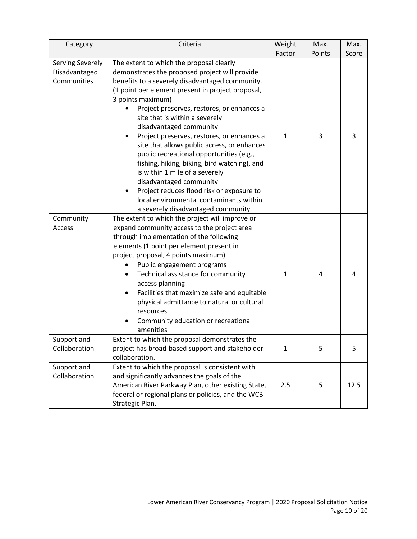| Category                                         | Criteria                                                                                                                                                                                                                                                                                                                                                                                                                                                                                                                                                                                                                                                                                                               | Weight       | Max.   | Max.  |
|--------------------------------------------------|------------------------------------------------------------------------------------------------------------------------------------------------------------------------------------------------------------------------------------------------------------------------------------------------------------------------------------------------------------------------------------------------------------------------------------------------------------------------------------------------------------------------------------------------------------------------------------------------------------------------------------------------------------------------------------------------------------------------|--------------|--------|-------|
|                                                  |                                                                                                                                                                                                                                                                                                                                                                                                                                                                                                                                                                                                                                                                                                                        | Factor       | Points | Score |
| Serving Severely<br>Disadvantaged<br>Communities | The extent to which the proposal clearly<br>demonstrates the proposed project will provide<br>benefits to a severely disadvantaged community.<br>(1 point per element present in project proposal,<br>3 points maximum)<br>Project preserves, restores, or enhances a<br>site that is within a severely<br>disadvantaged community<br>Project preserves, restores, or enhances a<br>site that allows public access, or enhances<br>public recreational opportunities (e.g.,<br>fishing, hiking, biking, bird watching), and<br>is within 1 mile of a severely<br>disadvantaged community<br>Project reduces flood risk or exposure to<br>local environmental contaminants within<br>a severely disadvantaged community | $\mathbf{1}$ | 3      | 3     |
| Community<br>Access                              | The extent to which the project will improve or<br>expand community access to the project area<br>through implementation of the following<br>elements (1 point per element present in<br>project proposal, 4 points maximum)<br>Public engagement programs<br>Technical assistance for community<br>access planning<br>Facilities that maximize safe and equitable<br>physical admittance to natural or cultural<br>resources<br>Community education or recreational<br>amenities                                                                                                                                                                                                                                      | $\mathbf{1}$ | 4      | 4     |
| Support and<br>Collaboration                     | Extent to which the proposal demonstrates the<br>project has broad-based support and stakeholder<br>collaboration.                                                                                                                                                                                                                                                                                                                                                                                                                                                                                                                                                                                                     | $\mathbf{1}$ | 5      | 5     |
| Support and<br>Collaboration                     | Extent to which the proposal is consistent with<br>and significantly advances the goals of the<br>American River Parkway Plan, other existing State,<br>federal or regional plans or policies, and the WCB<br>Strategic Plan.                                                                                                                                                                                                                                                                                                                                                                                                                                                                                          | 2.5          | 5      | 12.5  |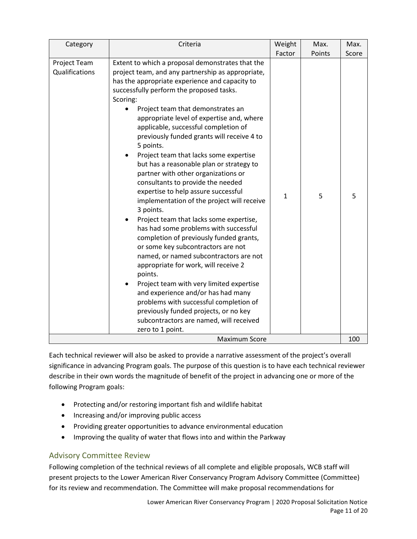| Category                       | Criteria                                                                                                                                                                                                                                                                                                                                                                                                                                                                                                                                                                                                                                                                                                                                                                                                                                                                                                                                                                                                                                                                                                                                                                       | Weight       | Max.   | Max.  |
|--------------------------------|--------------------------------------------------------------------------------------------------------------------------------------------------------------------------------------------------------------------------------------------------------------------------------------------------------------------------------------------------------------------------------------------------------------------------------------------------------------------------------------------------------------------------------------------------------------------------------------------------------------------------------------------------------------------------------------------------------------------------------------------------------------------------------------------------------------------------------------------------------------------------------------------------------------------------------------------------------------------------------------------------------------------------------------------------------------------------------------------------------------------------------------------------------------------------------|--------------|--------|-------|
|                                |                                                                                                                                                                                                                                                                                                                                                                                                                                                                                                                                                                                                                                                                                                                                                                                                                                                                                                                                                                                                                                                                                                                                                                                | Factor       | Points | Score |
| Project Team<br>Qualifications | Extent to which a proposal demonstrates that the<br>project team, and any partnership as appropriate,<br>has the appropriate experience and capacity to<br>successfully perform the proposed tasks.<br>Scoring:<br>Project team that demonstrates an<br>appropriate level of expertise and, where<br>applicable, successful completion of<br>previously funded grants will receive 4 to<br>5 points.<br>Project team that lacks some expertise<br>but has a reasonable plan or strategy to<br>partner with other organizations or<br>consultants to provide the needed<br>expertise to help assure successful<br>implementation of the project will receive<br>3 points.<br>Project team that lacks some expertise,<br>has had some problems with successful<br>completion of previously funded grants,<br>or some key subcontractors are not<br>named, or named subcontractors are not<br>appropriate for work, will receive 2<br>points.<br>Project team with very limited expertise<br>and experience and/or has had many<br>problems with successful completion of<br>previously funded projects, or no key<br>subcontractors are named, will received<br>zero to 1 point. | $\mathbf{1}$ | 5      | 5     |
| <b>Maximum Score</b>           |                                                                                                                                                                                                                                                                                                                                                                                                                                                                                                                                                                                                                                                                                                                                                                                                                                                                                                                                                                                                                                                                                                                                                                                |              |        | 100   |

Each technical reviewer will also be asked to provide a narrative assessment of the project's overall significance in advancing Program goals. The purpose of this question is to have each technical reviewer describe in their own words the magnitude of benefit of the project in advancing one or more of the following Program goals:

- Protecting and/or restoring important fish and wildlife habitat
- Increasing and/or improving public access
- Providing greater opportunities to advance environmental education
- Improving the quality of water that flows into and within the Parkway

## Advisory Committee Review

Following completion of the technical reviews of all complete and eligible proposals, WCB staff will present projects to the Lower American River Conservancy Program Advisory Committee (Committee) for its review and recommendation. The Committee will make proposal recommendations for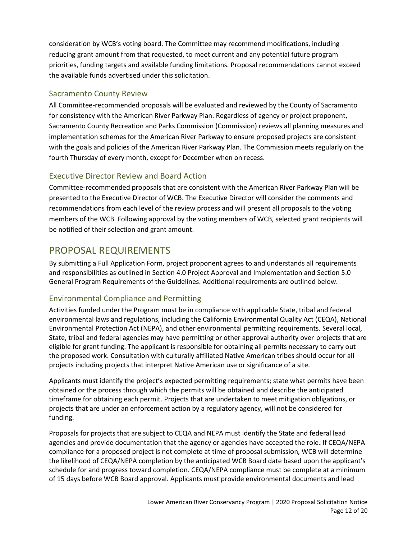consideration by WCB's voting board. The Committee may recommend modifications, including reducing grant amount from that requested, to meet current and any potential future program priorities, funding targets and available funding limitations. Proposal recommendations cannot exceed the available funds advertised under this solicitation.

# Sacramento County Review

All Committee-recommended proposals will be evaluated and reviewed by the County of Sacramento for consistency with the American River Parkway Plan. Regardless of agency or project proponent, Sacramento County Recreation and Parks Commission (Commission) reviews all planning measures and implementation schemes for the American River Parkway to ensure proposed projects are consistent with the goals and policies of the American River Parkway Plan. The Commission meets regularly on the fourth Thursday of every month, except for December when on recess.

# Executive Director Review and Board Action

Committee-recommended proposals that are consistent with the American River Parkway Plan will be presented to the Executive Director of WCB. The Executive Director will consider the comments and recommendations from each level of the review process and will present all proposals to the voting members of the WCB. Following approval by the voting members of WCB, selected grant recipients will be notified of their selection and grant amount.

# PROPOSAL REQUIREMENTS

By submitting a Full Application Form, project proponent agrees to and understands all requirements and responsibilities as outlined in Section 4.0 Project Approval and Implementation and Section 5.0 General Program Requirements of the Guidelines. Additional requirements are outlined below.

# Environmental Compliance and Permitting

Activities funded under the Program must be in compliance with applicable State, tribal and federal environmental laws and regulations, including the California Environmental Quality Act (CEQA), National Environmental Protection Act (NEPA), and other environmental permitting requirements. Several local, State, tribal and federal agencies may have permitting or other approval authority over projects that are eligible for grant funding. The applicant is responsible for obtaining all permits necessary to carry out the proposed work. Consultation with culturally affiliated Native American tribes should occur for all projects including projects that interpret Native American use or significance of a site.

Applicants must identify the project's expected permitting requirements; state what permits have been obtained or the process through which the permits will be obtained and describe the anticipated timeframe for obtaining each permit. Projects that are undertaken to meet mitigation obligations, or projects that are under an enforcement action by a regulatory agency, will not be considered for funding.

Proposals for projects that are subject to CEQA and NEPA must identify the State and federal lead agencies and provide documentation that the agency or agencies have accepted the role**.** If CEQA/NEPA compliance for a proposed project is not complete at time of proposal submission, WCB will determine the likelihood of CEQA/NEPA completion by the anticipated WCB Board date based upon the applicant's schedule for and progress toward completion. CEQA/NEPA compliance must be complete at a minimum of 15 days before WCB Board approval. Applicants must provide environmental documents and lead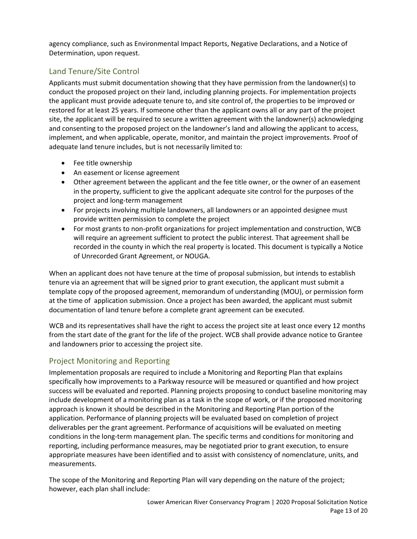agency compliance, such as Environmental Impact Reports, Negative Declarations, and a Notice of Determination, upon request.

# Land Tenure/Site Control

Applicants must submit documentation showing that they have permission from the landowner(s) to conduct the proposed project on their land, including planning projects. For implementation projects the applicant must provide adequate tenure to, and site control of, the properties to be improved or restored for at least 25 years. If someone other than the applicant owns all or any part of the project site, the applicant will be required to secure a written agreement with the landowner(s) acknowledging and consenting to the proposed project on the landowner's land and allowing the applicant to access, implement, and when applicable, operate, monitor, and maintain the project improvements. Proof of adequate land tenure includes, but is not necessarily limited to:

- Fee title ownership
- An easement or license agreement
- Other agreement between the applicant and the fee title owner, or the owner of an easement in the property, sufficient to give the applicant adequate site control for the purposes of the project and long-term management
- For projects involving multiple landowners, all landowners or an appointed designee must provide written permission to complete the project
- For most grants to non-profit organizations for project implementation and construction, WCB will require an agreement sufficient to protect the public interest. That agreement shall be recorded in the county in which the real property is located. This document is typically a Notice of Unrecorded Grant Agreement, or NOUGA.

When an applicant does not have tenure at the time of proposal submission, but intends to establish tenure via an agreement that will be signed prior to grant execution, the applicant must submit a template copy of the proposed agreement, memorandum of understanding (MOU), or permission form at the time of application submission. Once a project has been awarded, the applicant must submit documentation of land tenure before a complete grant agreement can be executed.

WCB and its representatives shall have the right to access the project site at least once every 12 months from the start date of the grant for the life of the project. WCB shall provide advance notice to Grantee and landowners prior to accessing the project site.

# Project Monitoring and Reporting

Implementation proposals are required to include a Monitoring and Reporting Plan that explains specifically how improvements to a Parkway resource will be measured or quantified and how project success will be evaluated and reported. Planning projects proposing to conduct baseline monitoring may include development of a monitoring plan as a task in the scope of work, or if the proposed monitoring approach is known it should be described in the Monitoring and Reporting Plan portion of the application. Performance of planning projects will be evaluated based on completion of project deliverables per the grant agreement. Performance of acquisitions will be evaluated on meeting conditions in the long-term management plan. The specific terms and conditions for monitoring and reporting, including performance measures, may be negotiated prior to grant execution, to ensure appropriate measures have been identified and to assist with consistency of nomenclature, units, and measurements.

The scope of the Monitoring and Reporting Plan will vary depending on the nature of the project; however, each plan shall include: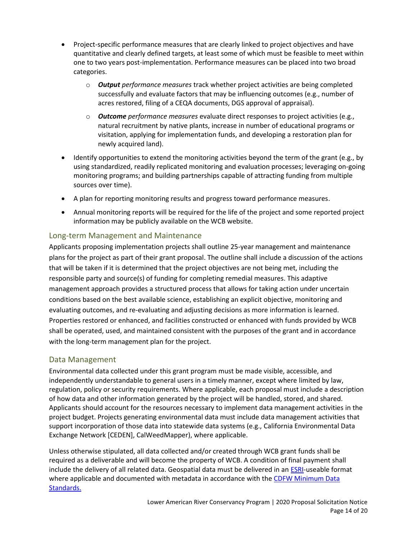- Project-specific performance measures that are clearly linked to project objectives and have quantitative and clearly defined targets, at least some of which must be feasible to meet within one to two years post-implementation. Performance measures can be placed into two broad categories.
	- o *Output performance measures* track whether project activities are being completed successfully and evaluate factors that may be influencing outcomes (e.g., number of acres restored, filing of a CEQA documents, DGS approval of appraisal).
	- o *Outcome performance measures* evaluate direct responses to project activities (e.g., natural recruitment by native plants, increase in number of educational programs or visitation, applying for implementation funds, and developing a restoration plan for newly acquired land).
- Identify opportunities to extend the monitoring activities beyond the term of the grant (e.g., by using standardized, readily replicated monitoring and evaluation processes; leveraging on-going monitoring programs; and building partnerships capable of attracting funding from multiple sources over time).
- A plan for reporting monitoring results and progress toward performance measures.
- Annual monitoring reports will be required for the life of the project and some reported project information may be publicly available on the WCB website.

## Long-term Management and Maintenance

Applicants proposing implementation projects shall outline 25-year management and maintenance plans for the project as part of their grant proposal. The outline shall include a discussion of the actions that will be taken if it is determined that the project objectives are not being met, including the responsible party and source(s) of funding for completing remedial measures. This adaptive management approach provides a structured process that allows for taking action under uncertain conditions based on the best available science, establishing an explicit objective, monitoring and evaluating outcomes, and re-evaluating and adjusting decisions as more information is learned. Properties restored or enhanced, and facilities constructed or enhanced with funds provided by WCB shall be operated, used, and maintained consistent with the purposes of the grant and in accordance with the long-term management plan for the project.

## Data Management

Environmental data collected under this grant program must be made visible, accessible, and independently understandable to general users in a timely manner, except where limited by law, regulation, policy or security requirements. Where applicable, each proposal must include a description of how data and other information generated by the project will be handled, stored, and shared. Applicants should account for the resources necessary to implement data management activities in the project budget. Projects generating environmental data must include data management activities that support incorporation of those data into statewide data systems (e.g., [California Environmental Data](http://www.ceden.org/)  [Exchange Network](http://www.ceden.org/) [CEDEN], CalWeedMapper), where applicable.

Unless otherwise stipulated, all data collected and/or created through WCB grant funds shall be required as a deliverable and will become the property of WCB. A condition of final payment shall include the delivery of all related data. Geospatial data must be delivered in a[n ESRI-](http://www.esri.com/)useable format where applicable and documented with metadata in accordance with the [CDFW Minimum Data](http://www.dfg.ca.gov/biogeodata/bios/metadata.asp)  [Standards.](http://www.dfg.ca.gov/biogeodata/bios/metadata.asp)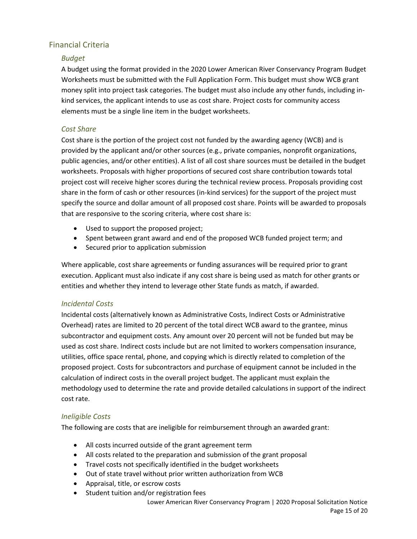# Financial Criteria

#### *Budget*

A budget using the format provided in the 2020 Lower American River Conservancy Program Budget Worksheets must be submitted with the Full Application Form. This budget must show WCB grant money split into project task categories. The budget must also include any other funds, including inkind services, the applicant intends to use as cost share. Project costs for community access elements must be a single line item in the budget worksheets.

#### *Cost Share*

Cost share is the portion of the project cost not funded by the awarding agency (WCB) and is provided by the applicant and/or other sources (e.g., private companies, nonprofit organizations, public agencies, and/or other entities). A list of all cost share sources must be detailed in the budget worksheets. Proposals with higher proportions of secured cost share contribution towards total project cost will receive higher scores during the technical review process. Proposals providing cost share in the form of cash or other resources (in-kind services) for the support of the project must specify the source and dollar amount of all proposed cost share. Points will be awarded to proposals that are responsive to the scoring criteria, where cost share is:

- Used to support the proposed project;
- Spent between grant award and end of the proposed WCB funded project term; and
- Secured prior to application submission

Where applicable, cost share agreements or funding assurances will be required prior to grant execution. Applicant must also indicate if any cost share is being used as match for other grants or entities and whether they intend to leverage other State funds as match, if awarded.

#### *Incidental Costs*

Incidental costs (alternatively known as Administrative Costs, Indirect Costs or Administrative Overhead) rates are limited to 20 percent of the total direct WCB award to the grantee, minus subcontractor and equipment costs. Any amount over 20 percent will not be funded but may be used as cost share. Indirect costs include but are not limited to workers compensation insurance, utilities, office space rental, phone, and copying which is directly related to completion of the proposed project. Costs for subcontractors and purchase of equipment cannot be included in the calculation of indirect costs in the overall project budget. The applicant must explain the methodology used to determine the rate and provide detailed calculations in support of the indirect cost rate.

#### *Ineligible Costs*

The following are costs that are ineligible for reimbursement through an awarded grant:

- All costs incurred outside of the grant agreement term
- All costs related to the preparation and submission of the grant proposal
- Travel costs not specifically identified in the budget worksheets
- Out of state travel without prior written authorization from WCB
- Appraisal, title, or escrow costs
- Student tuition and/or registration fees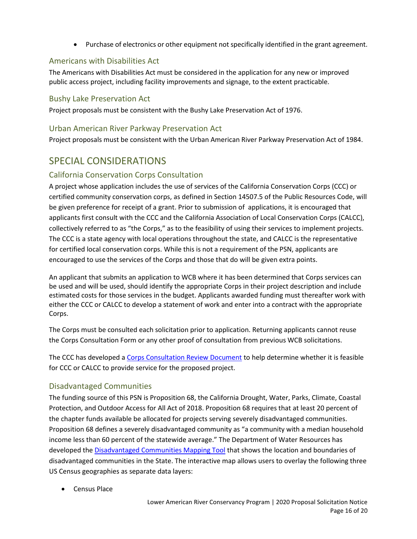• Purchase of electronics or other equipment not specifically identified in the grant agreement.

# Americans with Disabilities Act

The Americans with Disabilities Act must be considered in the application for any new or improved public access project, including facility improvements and signage, to the extent practicable.

### Bushy Lake Preservation Act

Project proposals must be consistent with the Bushy Lake Preservation Act of 1976.

### Urban American River Parkway Preservation Act

Project proposals must be consistent with the Urban American River Parkway Preservation Act of 1984.

# SPECIAL CONSIDERATIONS

## California Conservation Corps Consultation

A project whose application includes the use of services of the California Conservation Corps (CCC) or certified community conservation corps, as defined in Section 14507.5 of the Public Resources Code, will be given preference for receipt of a grant. Prior to submission of applications, it is encouraged that applicants first consult with the CCC and the California Association of Local Conservation Corps (CALCC), collectively referred to as "the Corps," as to the feasibility of using their services to implement projects. The CCC is a state agency with local operations throughout the state, and CALCC is the representative for certified local conservation corps. While this is not a requirement of the PSN, applicants are encouraged to use the services of the Corps and those that do will be given extra points.

An applicant that submits an application to WCB where it has been determined that Corps services can be used and will be used, should identify the appropriate Corps in their project description and include estimated costs for those services in the budget. Applicants awarded funding must thereafter work with either the CCC or CALCC to develop a statement of work and enter into a contract with the appropriate Corps.

The Corps must be consulted each solicitation prior to application. Returning applicants cannot reuse the Corps Consultation Form or any other proof of consultation from previous WCB solicitations.

The CCC has developed a [Corps Consultation Review Document](https://ccc.ca.gov/what-we-do/funding-opportunities/proposition-68-parks-water-bond/) to help determine whether it is feasible for CCC or CALCC to provide service for the proposed project.

## Disadvantaged Communities

The funding source of this PSN is Proposition 68, the California Drought, Water, Parks, Climate, Coastal Protection, and Outdoor Access for All Act of 2018. Proposition 68 requires that at least 20 percent of the chapter funds available be allocated for projects serving severely disadvantaged communities. Proposition 68 defines a severely disadvantaged community as "a community with a median household income less than 60 percent of the statewide average." The Department of Water Resources has developed the [Disadvantaged Communities Mapping Tool](https://gis.water.ca.gov/app/dacs/) that shows the location and boundaries of disadvantaged communities in the State. The interactive map allows users to overlay the following three US Census geographies as separate data layers:

• Census Place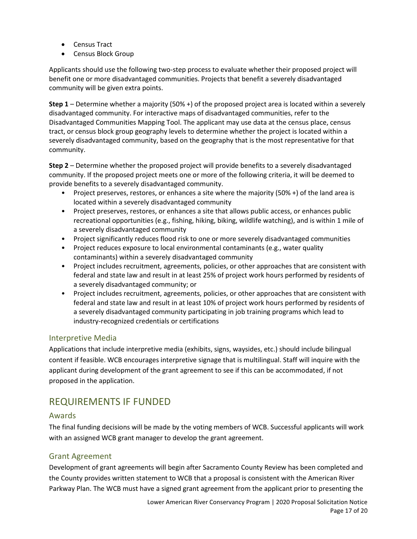- Census Tract
- Census Block Group

Applicants should use the following two-step process to evaluate whether their proposed project will benefit one or more disadvantaged communities. Projects that benefit a severely disadvantaged community will be given extra points.

**Step 1** – Determine whether a majority (50% +) of the proposed project area is located within a severely disadvantaged community. For interactive maps of disadvantaged communities, refer to the Disadvantaged Communities Mapping Tool. The applicant may use data at the census place, census tract, or census block group geography levels to determine whether the project is located within a severely disadvantaged community, based on the geography that is the most representative for that community.

**Step 2** – Determine whether the proposed project will provide benefits to a severely disadvantaged community. If the proposed project meets one or more of the following criteria, it will be deemed to provide benefits to a severely disadvantaged community.

- Project preserves, restores, or enhances a site where the majority (50% +) of the land area is located within a severely disadvantaged community
- Project preserves, restores, or enhances a site that allows public access, or enhances public recreational opportunities (e.g., fishing, hiking, biking, wildlife watching), and is within 1 mile of a severely disadvantaged community
- Project significantly reduces flood risk to one or more severely disadvantaged communities
- Project reduces exposure to local environmental contaminants (e.g., water quality contaminants) within a severely disadvantaged community
- Project includes recruitment, agreements, policies, or other approaches that are consistent with federal and state law and result in at least 25% of project work hours performed by residents of a severely disadvantaged community; or
- Project includes recruitment, agreements, policies, or other approaches that are consistent with federal and state law and result in at least 10% of project work hours performed by residents of a severely disadvantaged community participating in job training programs which lead to industry-recognized credentials or certifications

#### Interpretive Media

Applications that include interpretive media (exhibits, signs, waysides, etc.) should include bilingual content if feasible. WCB encourages interpretive signage that is multilingual. Staff will inquire with the applicant during development of the grant agreement to see if this can be accommodated, if not proposed in the application.

# REQUIREMENTS IF FUNDED

#### Awards

The final funding decisions will be made by the voting members of WCB. Successful applicants will work with an assigned WCB grant manager to develop the grant agreement.

## Grant Agreement

Development of grant agreements will begin after Sacramento County Review has been completed and the County provides written statement to WCB that a proposal is consistent with the American River Parkway Plan. The WCB must have a signed grant agreement from the applicant prior to presenting the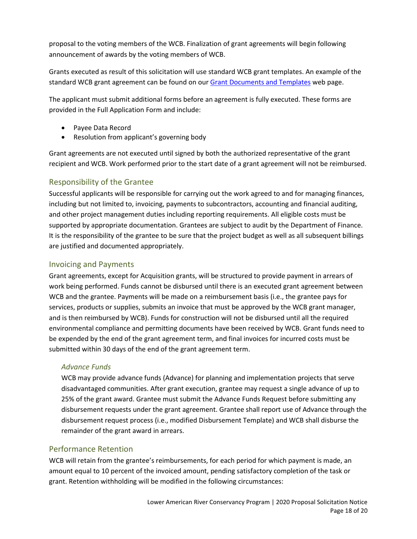proposal to the voting members of the WCB. Finalization of grant agreements will begin following announcement of awards by the voting members of WCB.

Grants executed as result of this solicitation will use standard WCB grant templates. An example of the standard WCB grant agreement can be found on our **[Grant Documents and Templates](https://wcb.ca.gov/Grants/Grant-Information) web page.** 

The applicant must submit additional forms before an agreement is fully executed. These forms are provided in the Full Application Form and include:

- Payee Data Record
- Resolution from applicant's governing body

Grant agreements are not executed until signed by both the authorized representative of the grant recipient and WCB. Work performed prior to the start date of a grant agreement will not be reimbursed.

## Responsibility of the Grantee

Successful applicants will be responsible for carrying out the work agreed to and for managing finances, including but not limited to, invoicing, payments to subcontractors, accounting and financial auditing, and other project management duties including reporting requirements. All eligible costs must be supported by appropriate documentation. Grantees are subject to audit by the Department of Finance. It is the responsibility of the grantee to be sure that the project budget as well as all subsequent billings are justified and documented appropriately.

## Invoicing and Payments

Grant agreements, except for Acquisition grants, will be structured to provide payment in arrears of work being performed. Funds cannot be disbursed until there is an executed grant agreement between WCB and the grantee. Payments will be made on a reimbursement basis (i.e., the grantee pays for services, products or supplies, submits an invoice that must be approved by the WCB grant manager, and is then reimbursed by WCB). Funds for construction will not be disbursed until all the required environmental compliance and permitting documents have been received by WCB. Grant funds need to be expended by the end of the grant agreement term, and final invoices for incurred costs must be submitted within 30 days of the end of the grant agreement term.

#### *Advance Funds*

WCB may provide advance funds (Advance) for planning and implementation projects that serve disadvantaged communities. After grant execution, grantee may request a single advance of up to 25% of the grant award. Grantee must submit the Advance Funds Request before submitting any disbursement requests under the grant agreement. Grantee shall report use of Advance through the disbursement request process (i.e., modified Disbursement Template) and WCB shall disburse the remainder of the grant award in arrears.

#### Performance Retention

WCB will retain from the grantee's reimbursements, for each period for which payment is made, an amount equal to 10 percent of the invoiced amount, pending satisfactory completion of the task or grant. Retention withholding will be modified in the following circumstances: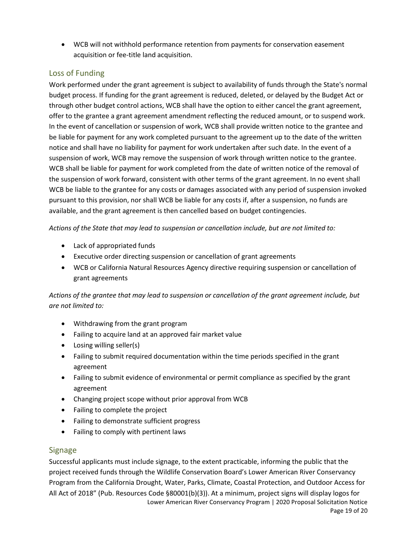• WCB will not withhold performance retention from payments for conservation easement acquisition or fee-title land acquisition.

# Loss of Funding

Work performed under the grant agreement is subject to availability of funds through the State's normal budget process. If funding for the grant agreement is reduced, deleted, or delayed by the Budget Act or through other budget control actions, WCB shall have the option to either cancel the grant agreement, offer to the grantee a grant agreement amendment reflecting the reduced amount, or to suspend work. In the event of cancellation or suspension of work, WCB shall provide written notice to the grantee and be liable for payment for any work completed pursuant to the agreement up to the date of the written notice and shall have no liability for payment for work undertaken after such date. In the event of a suspension of work, WCB may remove the suspension of work through written notice to the grantee. WCB shall be liable for payment for work completed from the date of written notice of the removal of the suspension of work forward, consistent with other terms of the grant agreement. In no event shall WCB be liable to the grantee for any costs or damages associated with any period of suspension invoked pursuant to this provision, nor shall WCB be liable for any costs if, after a suspension, no funds are available, and the grant agreement is then cancelled based on budget contingencies.

*Actions of the State that may lead to suspension or cancellation include, but are not limited to:* 

- Lack of appropriated funds
- Executive order directing suspension or cancellation of grant agreements
- WCB or California Natural Resources Agency directive requiring suspension or cancellation of grant agreements

*Actions of the grantee that may lead to suspension or cancellation of the grant agreement include, but are not limited to:* 

- Withdrawing from the grant program
- Failing to acquire land at an approved fair market value
- Losing willing seller(s)
- Failing to submit required documentation within the time periods specified in the grant agreement
- Failing to submit evidence of environmental or permit compliance as specified by the grant agreement
- Changing project scope without prior approval from WCB
- Failing to complete the project
- Failing to demonstrate sufficient progress
- Failing to comply with pertinent laws

# Signage

Lower American River Conservancy Program | 2020 Proposal Solicitation Notice Successful applicants must include signage, to the extent practicable, informing the public that the project received funds through the Wildlife Conservation Board's Lower American River Conservancy Program from the California Drought, Water, Parks, Climate, Coastal Protection, and Outdoor Access for All Act of 2018" (Pub. Resources Code §80001(b)(3)). At a minimum, project signs will display logos for